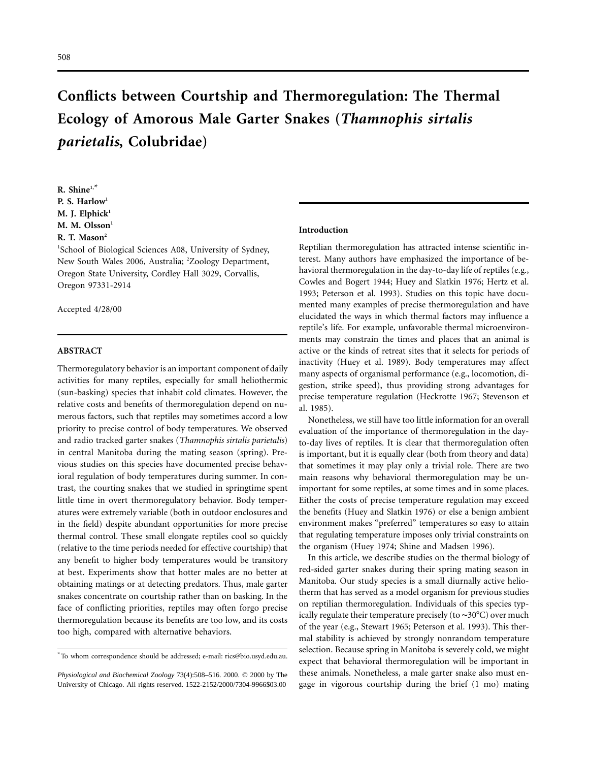# **Conflicts between Courtship and Thermoregulation: The Thermal Ecology of Amorous Male Garter Snakes (***Thamnophis sirtalis parietalis***, Colubridae)**

**R. Shine1,\* P. S. Harlow1 M. J. Elphick<sup>1</sup>** M. M. Olsson<sup>1</sup> **R. T. Mason2**

1 School of Biological Sciences A08, University of Sydney, New South Wales 2006, Australia; <sup>2</sup>Zoology Department, Oregon State University, Cordley Hall 3029, Corvallis, Oregon 97331-2914

Accepted 4/28/00

# **ABSTRACT**

Thermoregulatory behavior is an important component of daily activities for many reptiles, especially for small heliothermic (sun-basking) species that inhabit cold climates. However, the relative costs and benefits of thermoregulation depend on numerous factors, such that reptiles may sometimes accord a low priority to precise control of body temperatures. We observed and radio tracked garter snakes (*Thamnophis sirtalis parietalis*) in central Manitoba during the mating season (spring). Previous studies on this species have documented precise behavioral regulation of body temperatures during summer. In contrast, the courting snakes that we studied in springtime spent little time in overt thermoregulatory behavior. Body temperatures were extremely variable (both in outdoor enclosures and in the field) despite abundant opportunities for more precise thermal control. These small elongate reptiles cool so quickly (relative to the time periods needed for effective courtship) that any benefit to higher body temperatures would be transitory at best. Experiments show that hotter males are no better at obtaining matings or at detecting predators. Thus, male garter snakes concentrate on courtship rather than on basking. In the face of conflicting priorities, reptiles may often forgo precise thermoregulation because its benefits are too low, and its costs too high, compared with alternative behaviors.

#### **Introduction**

Reptilian thermoregulation has attracted intense scientific interest. Many authors have emphasized the importance of behavioral thermoregulation in the day-to-day life of reptiles (e.g., Cowles and Bogert 1944; Huey and Slatkin 1976; Hertz et al. 1993; Peterson et al. 1993). Studies on this topic have documented many examples of precise thermoregulation and have elucidated the ways in which thermal factors may influence a reptile's life. For example, unfavorable thermal microenvironments may constrain the times and places that an animal is active or the kinds of retreat sites that it selects for periods of inactivity (Huey et al. 1989). Body temperatures may affect many aspects of organismal performance (e.g., locomotion, digestion, strike speed), thus providing strong advantages for precise temperature regulation (Heckrotte 1967; Stevenson et al. 1985).

Nonetheless, we still have too little information for an overall evaluation of the importance of thermoregulation in the dayto-day lives of reptiles. It is clear that thermoregulation often is important, but it is equally clear (both from theory and data) that sometimes it may play only a trivial role. There are two main reasons why behavioral thermoregulation may be unimportant for some reptiles, at some times and in some places. Either the costs of precise temperature regulation may exceed the benefits (Huey and Slatkin 1976) or else a benign ambient environment makes "preferred" temperatures so easy to attain that regulating temperature imposes only trivial constraints on the organism (Huey 1974; Shine and Madsen 1996).

In this article, we describe studies on the thermal biology of red-sided garter snakes during their spring mating season in Manitoba. Our study species is a small diurnally active heliotherm that has served as a model organism for previous studies on reptilian thermoregulation. Individuals of this species typically regulate their temperature precisely (to ~30°C) over much of the year (e.g., Stewart 1965; Peterson et al. 1993). This thermal stability is achieved by strongly nonrandom temperature selection. Because spring in Manitoba is severely cold, we might expect that behavioral thermoregulation will be important in these animals. Nonetheless, a male garter snake also must engage in vigorous courtship during the brief (1 mo) mating

<sup>\*</sup>To whom correspondence should be addressed; e-mail: rics@bio.usyd.edu.au.

*Physiological and Biochemical Zoology* 73(4):508-516. 2000.  $©$  2000 by The University of Chicago. All rights reserved. 1522-2152/2000/7304-9966\$03.00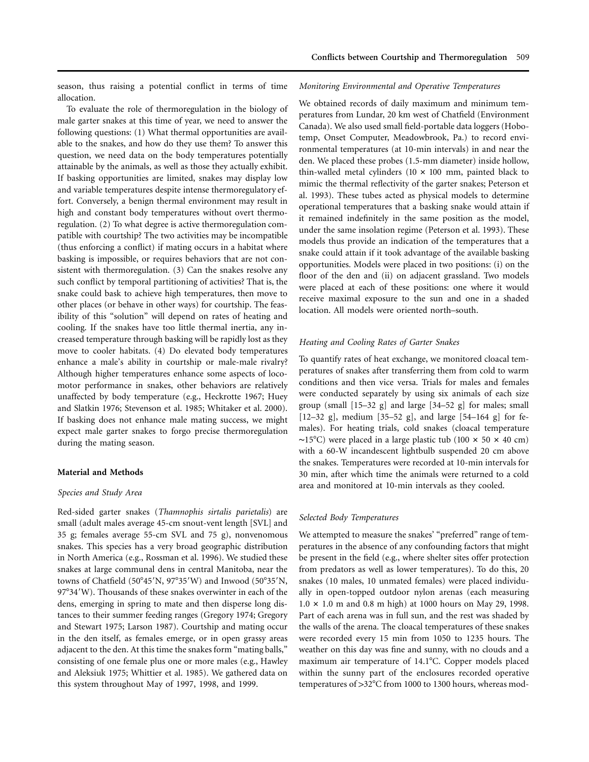season, thus raising a potential conflict in terms of time allocation.

To evaluate the role of thermoregulation in the biology of male garter snakes at this time of year, we need to answer the following questions: (1) What thermal opportunities are available to the snakes, and how do they use them? To answer this question, we need data on the body temperatures potentially attainable by the animals, as well as those they actually exhibit. If basking opportunities are limited, snakes may display low and variable temperatures despite intense thermoregulatory effort. Conversely, a benign thermal environment may result in high and constant body temperatures without overt thermoregulation. (2) To what degree is active thermoregulation compatible with courtship? The two activities may be incompatible (thus enforcing a conflict) if mating occurs in a habitat where basking is impossible, or requires behaviors that are not consistent with thermoregulation. (3) Can the snakes resolve any such conflict by temporal partitioning of activities? That is, the snake could bask to achieve high temperatures, then move to other places (or behave in other ways) for courtship. The feasibility of this "solution" will depend on rates of heating and cooling. If the snakes have too little thermal inertia, any increased temperature through basking will be rapidly lost as they move to cooler habitats. (4) Do elevated body temperatures enhance a male's ability in courtship or male-male rivalry? Although higher temperatures enhance some aspects of locomotor performance in snakes, other behaviors are relatively unaffected by body temperature (e.g., Heckrotte 1967; Huey and Slatkin 1976; Stevenson et al. 1985; Whitaker et al. 2000). If basking does not enhance male mating success, we might expect male garter snakes to forgo precise thermoregulation during the mating season.

# **Material and Methods**

# *Species and Study Area*

Red-sided garter snakes (*Thamnophis sirtalis parietalis*) are small (adult males average 45-cm snout-vent length [SVL] and 35 g; females average 55-cm SVL and 75 g), nonvenomous snakes. This species has a very broad geographic distribution in North America (e.g., Rossman et al. 1996). We studied these snakes at large communal dens in central Manitoba, near the towns of Chatfield (50°45'N, 97°35'W) and Inwood (50°35'N, 97°34'W). Thousands of these snakes overwinter in each of the dens, emerging in spring to mate and then disperse long distances to their summer feeding ranges (Gregory 1974; Gregory and Stewart 1975; Larson 1987). Courtship and mating occur in the den itself, as females emerge, or in open grassy areas adjacent to the den. At this time the snakes form "mating balls," consisting of one female plus one or more males (e.g., Hawley and Aleksiuk 1975; Whittier et al. 1985). We gathered data on this system throughout May of 1997, 1998, and 1999.

## *Monitoring Environmental and Operative Temperatures*

We obtained records of daily maximum and minimum temperatures from Lundar, 20 km west of Chatfield (Environment Canada). We also used small field-portable data loggers (Hobotemp, Onset Computer, Meadowbrook, Pa.) to record environmental temperatures (at 10-min intervals) in and near the den. We placed these probes (1.5-mm diameter) inside hollow, thin-walled metal cylinders ( $10 \times 100$  mm, painted black to mimic the thermal reflectivity of the garter snakes; Peterson et al. 1993). These tubes acted as physical models to determine operational temperatures that a basking snake would attain if it remained indefinitely in the same position as the model, under the same insolation regime (Peterson et al. 1993). These models thus provide an indication of the temperatures that a snake could attain if it took advantage of the available basking opportunities. Models were placed in two positions: (i) on the floor of the den and (ii) on adjacent grassland. Two models were placed at each of these positions: one where it would receive maximal exposure to the sun and one in a shaded location. All models were oriented north–south.

## *Heating and Cooling Rates of Garter Snakes*

To quantify rates of heat exchange, we monitored cloacal temperatures of snakes after transferring them from cold to warm conditions and then vice versa. Trials for males and females were conducted separately by using six animals of each size group (small [15–32 g] and large [34–52 g] for males; small [12–32 g], medium [35–52 g], and large [54–164 g] for females). For heating trials, cold snakes (cloacal temperature ~15°C) were placed in a large plastic tub ( $100 \times 50 \times 40$  cm) with a 60-W incandescent lightbulb suspended 20 cm above the snakes. Temperatures were recorded at 10-min intervals for 30 min, after which time the animals were returned to a cold area and monitored at 10-min intervals as they cooled.

## *Selected Body Temperatures*

We attempted to measure the snakes' "preferred" range of temperatures in the absence of any confounding factors that might be present in the field (e.g., where shelter sites offer protection from predators as well as lower temperatures). To do this, 20 snakes (10 males, 10 unmated females) were placed individually in open-topped outdoor nylon arenas (each measuring  $1.0 \times 1.0$  m and 0.8 m high) at 1000 hours on May 29, 1998. Part of each arena was in full sun, and the rest was shaded by the walls of the arena. The cloacal temperatures of these snakes were recorded every 15 min from 1050 to 1235 hours. The weather on this day was fine and sunny, with no clouds and a maximum air temperature of 14.1°C. Copper models placed within the sunny part of the enclosures recorded operative temperatures of  $>32^{\circ}$ C from 1000 to 1300 hours, whereas mod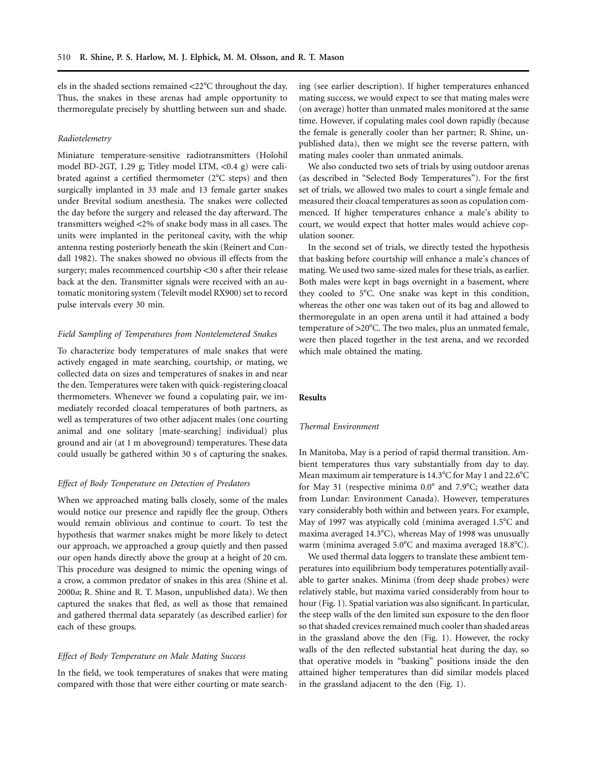els in the shaded sections remained  $\langle 22^{\circ}$ C throughout the day. Thus, the snakes in these arenas had ample opportunity to thermoregulate precisely by shuttling between sun and shade.

## *Radiotelemetry*

Miniature temperature-sensitive radiotransmitters (Holohil model BD-2GT, 1.29 g; Titley model LTM,  $\langle 0.4 \text{ g} \rangle$  were calibrated against a certified thermometer  $(2^{\circ}C$  steps) and then surgically implanted in 33 male and 13 female garter snakes under Brevital sodium anesthesia. The snakes were collected the day before the surgery and released the day afterward. The transmitters weighed <2% of snake body mass in all cases. The units were implanted in the peritoneal cavity, with the whip antenna resting posteriorly beneath the skin (Reinert and Cundall 1982). The snakes showed no obvious ill effects from the surgery; males recommenced courtship <30 s after their release back at the den. Transmitter signals were received with an automatic monitoring system (Televilt model RX900) set to record pulse intervals every 30 min.

## *Field Sampling of Temperatures from Nontelemetered Snakes*

To characterize body temperatures of male snakes that were actively engaged in mate searching, courtship, or mating, we collected data on sizes and temperatures of snakes in and near the den. Temperatures were taken with quick-registering cloacal thermometers. Whenever we found a copulating pair, we immediately recorded cloacal temperatures of both partners, as well as temperatures of two other adjacent males (one courting animal and one solitary [mate-searching] individual) plus ground and air (at 1 m aboveground) temperatures. These data could usually be gathered within 30 s of capturing the snakes.

## *Effect of Body Temperature on Detection of Predators*

When we approached mating balls closely, some of the males would notice our presence and rapidly flee the group. Others would remain oblivious and continue to court. To test the hypothesis that warmer snakes might be more likely to detect our approach, we approached a group quietly and then passed our open hands directly above the group at a height of 20 cm. This procedure was designed to mimic the opening wings of a crow, a common predator of snakes in this area (Shine et al. 2000*a*; R. Shine and R. T. Mason, unpublished data). We then captured the snakes that fled, as well as those that remained and gathered thermal data separately (as described earlier) for each of these groups.

# *Effect of Body Temperature on Male Mating Success*

In the field, we took temperatures of snakes that were mating compared with those that were either courting or mate searching (see earlier description). If higher temperatures enhanced mating success, we would expect to see that mating males were (on average) hotter than unmated males monitored at the same time. However, if copulating males cool down rapidly (because the female is generally cooler than her partner; R. Shine, unpublished data), then we might see the reverse pattern, with mating males cooler than unmated animals.

We also conducted two sets of trials by using outdoor arenas (as described in "Selected Body Temperatures"). For the first set of trials, we allowed two males to court a single female and measured their cloacal temperatures as soon as copulation commenced. If higher temperatures enhance a male's ability to court, we would expect that hotter males would achieve copulation sooner.

In the second set of trials, we directly tested the hypothesis that basking before courtship will enhance a male's chances of mating. We used two same-sized males for these trials, as earlier. Both males were kept in bags overnight in a basement, where they cooled to  $5^{\circ}$ C. One snake was kept in this condition, whereas the other one was taken out of its bag and allowed to thermoregulate in an open arena until it had attained a body temperature of  $>20^{\circ}$ C. The two males, plus an unmated female, were then placed together in the test arena, and we recorded which male obtained the mating.

#### **Results**

## *Thermal Environment*

In Manitoba, May is a period of rapid thermal transition. Ambient temperatures thus vary substantially from day to day. Mean maximum air temperature is  $14.3^{\circ}$ C for May 1 and  $22.6^{\circ}$ C for May 31 (respective minima  $0.0^{\circ}$  and  $7.9^{\circ}$ C; weather data from Lundar: Environment Canada). However, temperatures vary considerably both within and between years. For example, May of 1997 was atypically cold (minima averaged  $1.5^{\circ}$ C and maxima averaged  $14.3^{\circ}$ C), whereas May of 1998 was unusually warm (minima averaged 5.0°C and maxima averaged 18.8°C).

We used thermal data loggers to translate these ambient temperatures into equilibrium body temperatures potentially available to garter snakes. Minima (from deep shade probes) were relatively stable, but maxima varied considerably from hour to hour (Fig. 1). Spatial variation was also significant. In particular, the steep walls of the den limited sun exposure to the den floor so that shaded crevices remained much cooler than shaded areas in the grassland above the den (Fig. 1). However, the rocky walls of the den reflected substantial heat during the day, so that operative models in "basking" positions inside the den attained higher temperatures than did similar models placed in the grassland adjacent to the den (Fig. 1).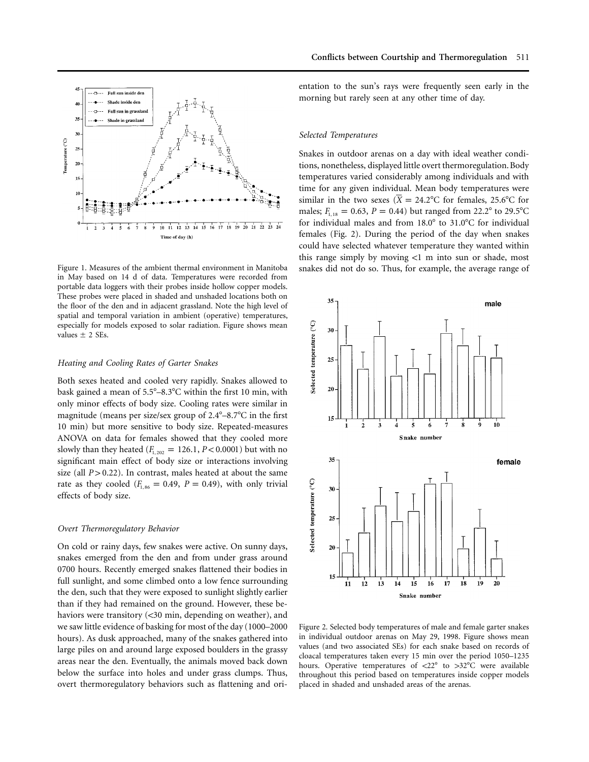

Figure 1. Measures of the ambient thermal environment in Manitoba in May based on 14 d of data. Temperatures were recorded from portable data loggers with their probes inside hollow copper models. These probes were placed in shaded and unshaded locations both on the floor of the den and in adjacent grassland. Note the high level of spatial and temporal variation in ambient (operative) temperatures, especially for models exposed to solar radiation. Figure shows mean values  $\pm$  2 SEs.

## *Heating and Cooling Rates of Garter Snakes*

Both sexes heated and cooled very rapidly. Snakes allowed to bask gained a mean of  $5.5^{\circ}-8.3^{\circ}$ C within the first 10 min, with only minor effects of body size. Cooling rates were similar in magnitude (means per size/sex group of  $2.4^{\circ}-8.7^{\circ}$ C in the first 10 min) but more sensitive to body size. Repeated-measures ANOVA on data for females showed that they cooled more slowly than they heated  $(F_{1, 202} = 126.1, P < 0.0001)$  but with no significant main effect of body size or interactions involving size (all  $P > 0.22$ ). In contrast, males heated at about the same rate as they cooled  $(F_{1, 86} = 0.49, P = 0.49)$ , with only trivial effects of body size.

# *Overt Thermoregulatory Behavior*

On cold or rainy days, few snakes were active. On sunny days, snakes emerged from the den and from under grass around 0700 hours. Recently emerged snakes flattened their bodies in full sunlight, and some climbed onto a low fence surrounding the den, such that they were exposed to sunlight slightly earlier than if they had remained on the ground. However, these behaviors were transitory  $\left( \langle 30 \rangle \right)$  min, depending on weather), and we saw little evidence of basking for most of the day (1000–2000 hours). As dusk approached, many of the snakes gathered into large piles on and around large exposed boulders in the grassy areas near the den. Eventually, the animals moved back down below the surface into holes and under grass clumps. Thus, overt thermoregulatory behaviors such as flattening and orientation to the sun's rays were frequently seen early in the morning but rarely seen at any other time of day.

## *Selected Temperatures*

Snakes in outdoor arenas on a day with ideal weather conditions, nonetheless, displayed little overt thermoregulation. Body temperatures varied considerably among individuals and with time for any given individual. Mean body temperatures were similar in the two sexes ( $\overline{X} = 24.2^{\circ}\text{C}$  for females, 25.6°C for males;  $F_{1,18} = 0.63$ ,  $P = 0.44$ ) but ranged from 22.2° to 29.5°C for individual males and from  $18.0^{\circ}$  to  $31.0^{\circ}$ C for individual females (Fig. 2). During the period of the day when snakes could have selected whatever temperature they wanted within this range simply by moving  $<$ 1 m into sun or shade, most snakes did not do so. Thus, for example, the average range of



Figure 2. Selected body temperatures of male and female garter snakes in individual outdoor arenas on May 29, 1998. Figure shows mean values (and two associated SEs) for each snake based on records of cloacal temperatures taken every 15 min over the period 1050–1235 hours. Operative temperatures of  $\langle 22^\circ$  to  $>32^\circ$ C were available throughout this period based on temperatures inside copper models placed in shaded and unshaded areas of the arenas.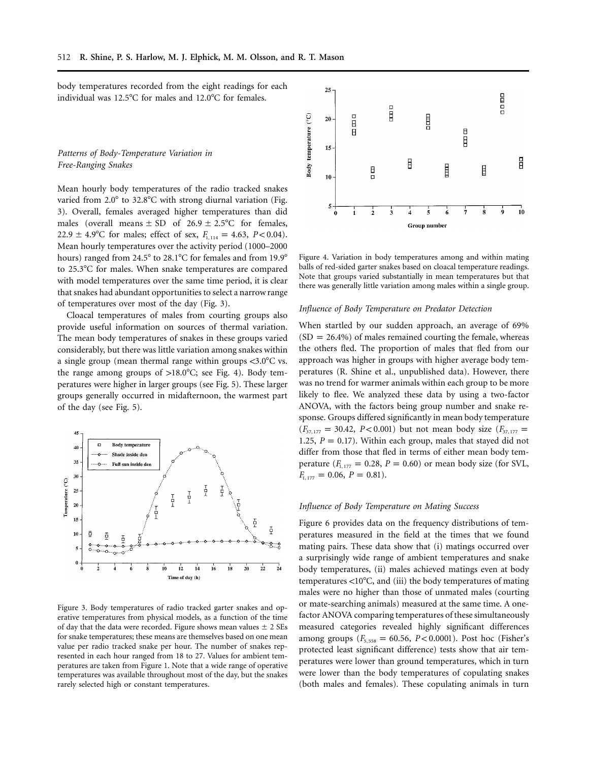body temperatures recorded from the eight readings for each individual was  $12.5^{\circ}$ C for males and  $12.0^{\circ}$ C for females.

# *Patterns of Body-Temperature Variation in Free-Ranging Snakes*

Mean hourly body temperatures of the radio tracked snakes varied from  $2.0^{\circ}$  to  $32.8^{\circ}$ C with strong diurnal variation (Fig. 3). Overall, females averaged higher temperatures than did males (overall means  $\pm$  SD of 26.9  $\pm$  2.5°C for females, 22.9  $\pm$  4.9°C for males; effect of sex,  $F_{1,114} = 4.63$ ,  $P < 0.04$ ). Mean hourly temperatures over the activity period (1000–2000 hours) ranged from  $24.5^{\circ}$  to  $28.1^{\circ}$ C for females and from  $19.9^{\circ}$ to 25.3°C for males. When snake temperatures are compared with model temperatures over the same time period, it is clear that snakes had abundant opportunities to select a narrow range of temperatures over most of the day (Fig. 3).

Cloacal temperatures of males from courting groups also provide useful information on sources of thermal variation. The mean body temperatures of snakes in these groups varied considerably, but there was little variation among snakes within a single group (mean thermal range within groups  $\langle 3.0^{\circ} \text{C} \rangle$  vs. the range among groups of  $>18.0^{\circ}$ C; see Fig. 4). Body temperatures were higher in larger groups (see Fig. 5). These larger groups generally occurred in midafternoon, the warmest part of the day (see Fig. 5).



Figure 3. Body temperatures of radio tracked garter snakes and operative temperatures from physical models, as a function of the time of day that the data were recorded. Figure shows mean values  $\pm$  2 SEs for snake temperatures; these means are themselves based on one mean value per radio tracked snake per hour. The number of snakes represented in each hour ranged from 18 to 27. Values for ambient temperatures are taken from Figure 1. Note that a wide range of operative temperatures was available throughout most of the day, but the snakes rarely selected high or constant temperatures.



Figure 4. Variation in body temperatures among and within mating balls of red-sided garter snakes based on cloacal temperature readings. Note that groups varied substantially in mean temperatures but that there was generally little variation among males within a single group.

# *Influence of Body Temperature on Predator Detection*

When startled by our sudden approach, an average of 69%  $(SD = 26.4\%)$  of males remained courting the female, whereas the others fled. The proportion of males that fled from our approach was higher in groups with higher average body temperatures (R. Shine et al., unpublished data). However, there was no trend for warmer animals within each group to be more likely to flee. We analyzed these data by using a two-factor ANOVA, with the factors being group number and snake response. Groups differed significantly in mean body temperature  $(F_{37,177} = 30.42, P < 0.001)$  but not mean body size  $(F_{37,177} =$ 1.25,  $P = 0.17$ ). Within each group, males that stayed did not differ from those that fled in terms of either mean body temperature  $(F_{1,177} = 0.28, P = 0.60)$  or mean body size (for SVL,  $F_{1, 177} = 0.06, P = 0.81$ .

## *Influence of Body Temperature on Mating Success*

Figure 6 provides data on the frequency distributions of temperatures measured in the field at the times that we found mating pairs. These data show that (i) matings occurred over a surprisingly wide range of ambient temperatures and snake body temperatures, (ii) males achieved matings even at body temperatures  $\langle 10^{\circ}$ C, and (iii) the body temperatures of mating males were no higher than those of unmated males (courting or mate-searching animals) measured at the same time. A onefactor ANOVA comparing temperatures of these simultaneously measured categories revealed highly significant differences among groups  $(F_{5,558} = 60.56, P < 0.0001)$ . Post hoc (Fisher's protected least significant difference) tests show that air temperatures were lower than ground temperatures, which in turn were lower than the body temperatures of copulating snakes (both males and females). These copulating animals in turn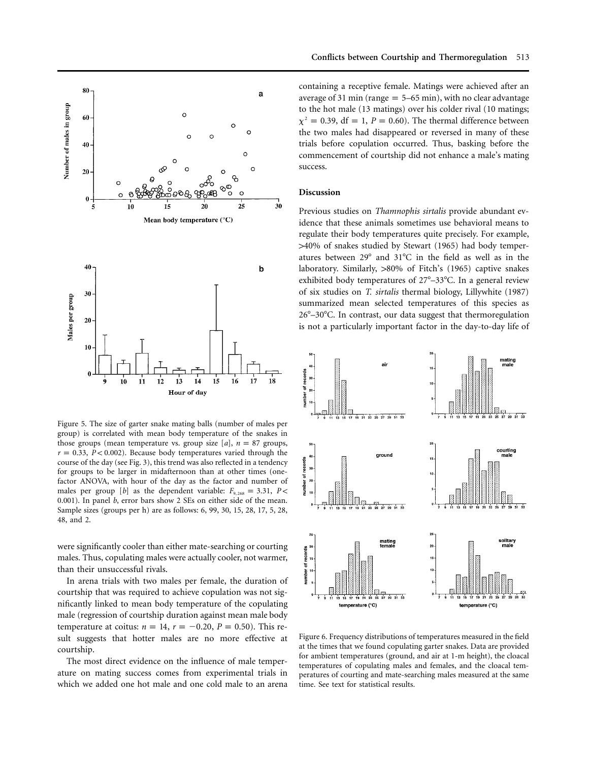

Figure 5. The size of garter snake mating balls (number of males per group) is correlated with mean body temperature of the snakes in those groups (mean temperature vs. group size  $[a]$ ,  $n = 87$  groups,  $r = 0.33$ ,  $P < 0.002$ ). Because body temperatures varied through the course of the day (see Fig. 3), this trend was also reflected in a tendency for groups to be larger in midafternoon than at other times (onefactor ANOVA, with hour of the day as the factor and number of males per group [b] as the dependent variable:  $F_{9,268} = 3.31, P <$ 0.001). In panel *b*, error bars show 2 SEs on either side of the mean. Sample sizes (groups per h) are as follows: 6, 99, 30, 15, 28, 17, 5, 28, 48, and 2.

were significantly cooler than either mate-searching or courting males. Thus, copulating males were actually cooler, not warmer, than their unsuccessful rivals.

In arena trials with two males per female, the duration of courtship that was required to achieve copulation was not significantly linked to mean body temperature of the copulating male (regression of courtship duration against mean male body temperature at coitus:  $n = 14$ ,  $r = -0.20$ ,  $P = 0.50$ ). This result suggests that hotter males are no more effective at courtship.

The most direct evidence on the influence of male temperature on mating success comes from experimental trials in which we added one hot male and one cold male to an arena containing a receptive female. Matings were achieved after an average of 31 min (range  $= 5-65$  min), with no clear advantage to the hot male (13 matings) over his colder rival (10 matings;  $\chi^2 = 0.39$ , df = 1, *P* = 0.60). The thermal difference between the two males had disappeared or reversed in many of these trials before copulation occurred. Thus, basking before the commencement of courtship did not enhance a male's mating success.

## **Discussion**

Previous studies on *Thamnophis sirtalis* provide abundant evidence that these animals sometimes use behavioral means to regulate their body temperatures quite precisely. For example, 140% of snakes studied by Stewart (1965) had body temperatures between  $29^{\circ}$  and  $31^{\circ}$ C in the field as well as in the laboratory. Similarly, >80% of Fitch's (1965) captive snakes exhibited body temperatures of  $27^{\circ}-33^{\circ}$ C. In a general review of six studies on *T. sirtalis* thermal biology, Lillywhite (1987) summarized mean selected temperatures of this species as  $26^{\circ}-30^{\circ}$ C. In contrast, our data suggest that thermoregulation is not a particularly important factor in the day-to-day life of



Figure 6. Frequency distributions of temperatures measured in the field at the times that we found copulating garter snakes. Data are provided for ambient temperatures (ground, and air at 1-m height), the cloacal temperatures of copulating males and females, and the cloacal temperatures of courting and mate-searching males measured at the same time. See text for statistical results.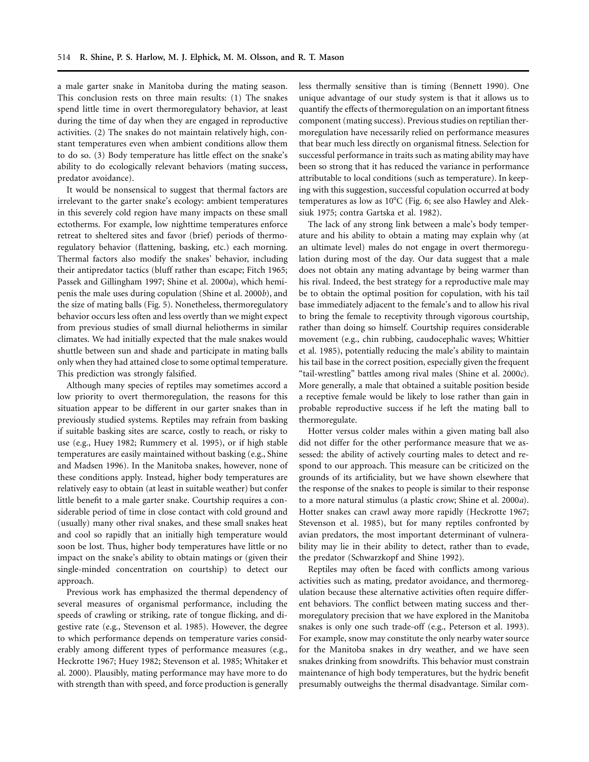a male garter snake in Manitoba during the mating season. This conclusion rests on three main results: (1) The snakes spend little time in overt thermoregulatory behavior, at least during the time of day when they are engaged in reproductive activities. (2) The snakes do not maintain relatively high, constant temperatures even when ambient conditions allow them to do so. (3) Body temperature has little effect on the snake's ability to do ecologically relevant behaviors (mating success, predator avoidance).

It would be nonsensical to suggest that thermal factors are irrelevant to the garter snake's ecology: ambient temperatures in this severely cold region have many impacts on these small ectotherms. For example, low nighttime temperatures enforce retreat to sheltered sites and favor (brief) periods of thermoregulatory behavior (flattening, basking, etc.) each morning. Thermal factors also modify the snakes' behavior, including their antipredator tactics (bluff rather than escape; Fitch 1965; Passek and Gillingham 1997; Shine et al. 2000*a*), which hemipenis the male uses during copulation (Shine et al. 2000*b*), and the size of mating balls (Fig. 5). Nonetheless, thermoregulatory behavior occurs less often and less overtly than we might expect from previous studies of small diurnal heliotherms in similar climates. We had initially expected that the male snakes would shuttle between sun and shade and participate in mating balls only when they had attained close to some optimal temperature. This prediction was strongly falsified.

Although many species of reptiles may sometimes accord a low priority to overt thermoregulation, the reasons for this situation appear to be different in our garter snakes than in previously studied systems. Reptiles may refrain from basking if suitable basking sites are scarce, costly to reach, or risky to use (e.g., Huey 1982; Rummery et al. 1995), or if high stable temperatures are easily maintained without basking (e.g., Shine and Madsen 1996). In the Manitoba snakes, however, none of these conditions apply. Instead, higher body temperatures are relatively easy to obtain (at least in suitable weather) but confer little benefit to a male garter snake. Courtship requires a considerable period of time in close contact with cold ground and (usually) many other rival snakes, and these small snakes heat and cool so rapidly that an initially high temperature would soon be lost. Thus, higher body temperatures have little or no impact on the snake's ability to obtain matings or (given their single-minded concentration on courtship) to detect our approach.

Previous work has emphasized the thermal dependency of several measures of organismal performance, including the speeds of crawling or striking, rate of tongue flicking, and digestive rate (e.g., Stevenson et al. 1985). However, the degree to which performance depends on temperature varies considerably among different types of performance measures (e.g., Heckrotte 1967; Huey 1982; Stevenson et al. 1985; Whitaker et al. 2000). Plausibly, mating performance may have more to do with strength than with speed, and force production is generally less thermally sensitive than is timing (Bennett 1990). One unique advantage of our study system is that it allows us to quantify the effects of thermoregulation on an important fitness component (mating success). Previous studies on reptilian thermoregulation have necessarily relied on performance measures that bear much less directly on organismal fitness. Selection for successful performance in traits such as mating ability may have been so strong that it has reduced the variance in performance attributable to local conditions (such as temperature). In keeping with this suggestion, successful copulation occurred at body temperatures as low as 10°C (Fig. 6; see also Hawley and Aleksiuk 1975; contra Gartska et al. 1982).

The lack of any strong link between a male's body temperature and his ability to obtain a mating may explain why (at an ultimate level) males do not engage in overt thermoregulation during most of the day. Our data suggest that a male does not obtain any mating advantage by being warmer than his rival. Indeed, the best strategy for a reproductive male may be to obtain the optimal position for copulation, with his tail base immediately adjacent to the female's and to allow his rival to bring the female to receptivity through vigorous courtship, rather than doing so himself. Courtship requires considerable movement (e.g., chin rubbing, caudocephalic waves; Whittier et al. 1985), potentially reducing the male's ability to maintain his tail base in the correct position, especially given the frequent "tail-wrestling" battles among rival males (Shine et al. 2000*c*). More generally, a male that obtained a suitable position beside a receptive female would be likely to lose rather than gain in probable reproductive success if he left the mating ball to thermoregulate.

Hotter versus colder males within a given mating ball also did not differ for the other performance measure that we assessed: the ability of actively courting males to detect and respond to our approach. This measure can be criticized on the grounds of its artificiality, but we have shown elsewhere that the response of the snakes to people is similar to their response to a more natural stimulus (a plastic crow; Shine et al. 2000*a*). Hotter snakes can crawl away more rapidly (Heckrotte 1967; Stevenson et al. 1985), but for many reptiles confronted by avian predators, the most important determinant of vulnerability may lie in their ability to detect, rather than to evade, the predator (Schwarzkopf and Shine 1992).

Reptiles may often be faced with conflicts among various activities such as mating, predator avoidance, and thermoregulation because these alternative activities often require different behaviors. The conflict between mating success and thermoregulatory precision that we have explored in the Manitoba snakes is only one such trade-off (e.g., Peterson et al. 1993). For example, snow may constitute the only nearby water source for the Manitoba snakes in dry weather, and we have seen snakes drinking from snowdrifts. This behavior must constrain maintenance of high body temperatures, but the hydric benefit presumably outweighs the thermal disadvantage. Similar com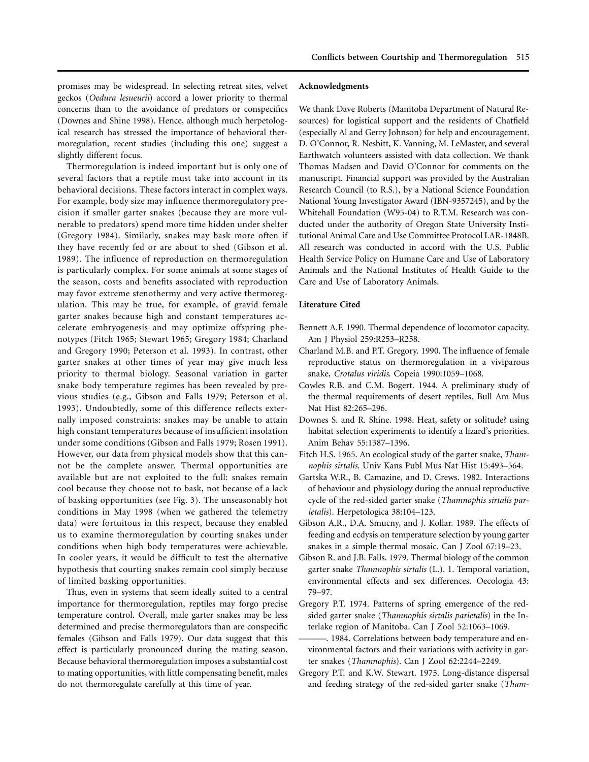promises may be widespread. In selecting retreat sites, velvet geckos (*Oedura lesueurii*) accord a lower priority to thermal concerns than to the avoidance of predators or conspecifics (Downes and Shine 1998). Hence, although much herpetological research has stressed the importance of behavioral thermoregulation, recent studies (including this one) suggest a slightly different focus.

Thermoregulation is indeed important but is only one of several factors that a reptile must take into account in its behavioral decisions. These factors interact in complex ways. For example, body size may influence thermoregulatory precision if smaller garter snakes (because they are more vulnerable to predators) spend more time hidden under shelter (Gregory 1984). Similarly, snakes may bask more often if they have recently fed or are about to shed (Gibson et al. 1989). The influence of reproduction on thermoregulation is particularly complex. For some animals at some stages of the season, costs and benefits associated with reproduction may favor extreme stenothermy and very active thermoregulation. This may be true, for example, of gravid female garter snakes because high and constant temperatures accelerate embryogenesis and may optimize offspring phenotypes (Fitch 1965; Stewart 1965; Gregory 1984; Charland and Gregory 1990; Peterson et al. 1993). In contrast, other garter snakes at other times of year may give much less priority to thermal biology. Seasonal variation in garter snake body temperature regimes has been revealed by previous studies (e.g., Gibson and Falls 1979; Peterson et al. 1993). Undoubtedly, some of this difference reflects externally imposed constraints: snakes may be unable to attain high constant temperatures because of insufficient insolation under some conditions (Gibson and Falls 1979; Rosen 1991). However, our data from physical models show that this cannot be the complete answer. Thermal opportunities are available but are not exploited to the full: snakes remain cool because they choose not to bask, not because of a lack of basking opportunities (see Fig. 3). The unseasonably hot conditions in May 1998 (when we gathered the telemetry data) were fortuitous in this respect, because they enabled us to examine thermoregulation by courting snakes under conditions when high body temperatures were achievable. In cooler years, it would be difficult to test the alternative hypothesis that courting snakes remain cool simply because of limited basking opportunities.

Thus, even in systems that seem ideally suited to a central importance for thermoregulation, reptiles may forgo precise temperature control. Overall, male garter snakes may be less determined and precise thermoregulators than are conspecific females (Gibson and Falls 1979). Our data suggest that this effect is particularly pronounced during the mating season. Because behavioral thermoregulation imposes a substantial cost to mating opportunities, with little compensating benefit, males do not thermoregulate carefully at this time of year.

## **Acknowledgments**

We thank Dave Roberts (Manitoba Department of Natural Resources) for logistical support and the residents of Chatfield (especially Al and Gerry Johnson) for help and encouragement. D. O'Connor, R. Nesbitt, K. Vanning, M. LeMaster, and several Earthwatch volunteers assisted with data collection. We thank Thomas Madsen and David O'Connor for comments on the manuscript. Financial support was provided by the Australian Research Council (to R.S.), by a National Science Foundation National Young Investigator Award (IBN-9357245), and by the Whitehall Foundation (W95-04) to R.T.M. Research was conducted under the authority of Oregon State University Institutional Animal Care and Use Committee Protocol LAR-1848B. All research was conducted in accord with the U.S. Public Health Service Policy on Humane Care and Use of Laboratory Animals and the National Institutes of Health Guide to the Care and Use of Laboratory Animals.

## **Literature Cited**

- Bennett A.F. 1990. Thermal dependence of locomotor capacity. Am J Physiol 259:R253–R258.
- Charland M.B. and P.T. Gregory. 1990. The influence of female reproductive status on thermoregulation in a viviparous snake, *Crotalus viridis*. Copeia 1990:1059–1068.
- Cowles R.B. and C.M. Bogert. 1944. A preliminary study of the thermal requirements of desert reptiles. Bull Am Mus Nat Hist 82:265–296.
- Downes S. and R. Shine. 1998. Heat, safety or solitude? using habitat selection experiments to identify a lizard's priorities. Anim Behav 55:1387–1396.
- Fitch H.S. 1965. An ecological study of the garter snake, *Thamnophis sirtalis*. Univ Kans Publ Mus Nat Hist 15:493–564.
- Gartska W.R., B. Camazine, and D. Crews. 1982. Interactions of behaviour and physiology during the annual reproductive cycle of the red-sided garter snake (*Thamnophis sirtalis parietalis*). Herpetologica 38:104–123.
- Gibson A.R., D.A. Smucny, and J. Kollar. 1989. The effects of feeding and ecdysis on temperature selection by young garter snakes in a simple thermal mosaic. Can J Zool 67:19–23.
- Gibson R. and J.B. Falls. 1979. Thermal biology of the common garter snake *Thamnophis sirtalis* (L.). 1. Temporal variation, environmental effects and sex differences. Oecologia 43: 79–97.
- Gregory P.T. 1974. Patterns of spring emergence of the redsided garter snake (*Thamnophis sirtalis parietalis*) in the Interlake region of Manitoba. Can J Zool 52:1063–1069.
- ———. 1984. Correlations between body temperature and environmental factors and their variations with activity in garter snakes (*Thamnophis*). Can J Zool 62:2244–2249.
- Gregory P.T. and K.W. Stewart. 1975. Long-distance dispersal and feeding strategy of the red-sided garter snake (*Tham-*